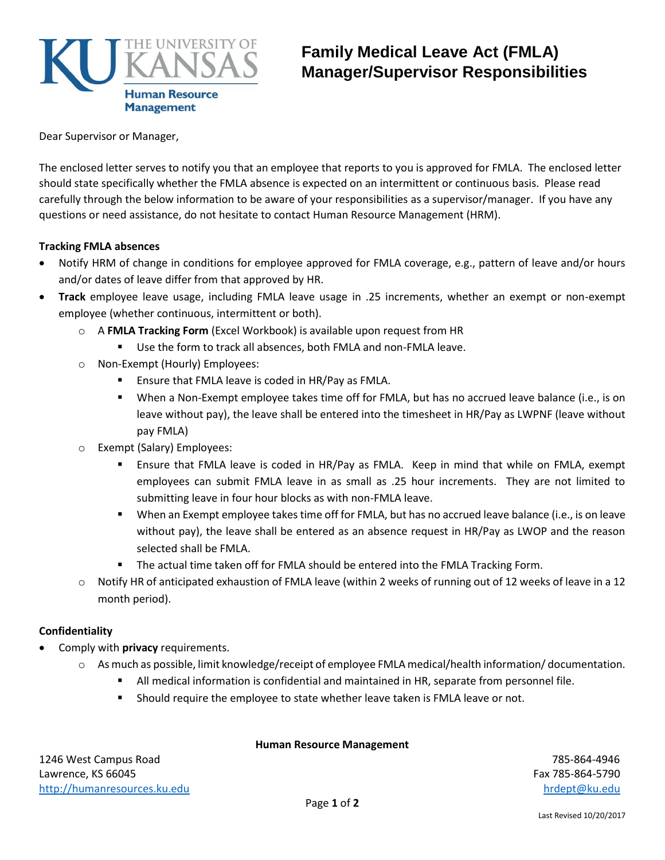

# **Family Medical Leave Act (FMLA) Manager/Supervisor Responsibilities**

Dear Supervisor or Manager,

The enclosed letter serves to notify you that an employee that reports to you is approved for FMLA. The enclosed letter should state specifically whether the FMLA absence is expected on an intermittent or continuous basis. Please read carefully through the below information to be aware of your responsibilities as a supervisor/manager. If you have any questions or need assistance, do not hesitate to contact Human Resource Management (HRM).

### **Tracking FMLA absences**

- Notify HRM of change in conditions for employee approved for FMLA coverage, e.g., pattern of leave and/or hours and/or dates of leave differ from that approved by HR.
- **Track** employee leave usage, including FMLA leave usage in .25 increments, whether an exempt or non-exempt employee (whether continuous, intermittent or both).
	- o A **FMLA Tracking Form** (Excel Workbook) is available upon request from HR
		- Use the form to track all absences, both FMLA and non-FMLA leave.
	- o Non-Exempt (Hourly) Employees:
		- **E** Ensure that FMLA leave is coded in HR/Pay as FMLA.
		- When a Non-Exempt employee takes time off for FMLA, but has no accrued leave balance (i.e., is on leave without pay), the leave shall be entered into the timesheet in HR/Pay as LWPNF (leave without pay FMLA)
	- o Exempt (Salary) Employees:
		- Ensure that FMLA leave is coded in HR/Pay as FMLA. Keep in mind that while on FMLA, exempt employees can submit FMLA leave in as small as .25 hour increments. They are not limited to submitting leave in four hour blocks as with non-FMLA leave.
		- When an Exempt employee takes time off for FMLA, but has no accrued leave balance (i.e., is on leave without pay), the leave shall be entered as an absence request in HR/Pay as LWOP and the reason selected shall be FMLA.
		- **The actual time taken off for FMLA should be entered into the FMLA Tracking Form.**
	- o Notify HR of anticipated exhaustion of FMLA leave (within 2 weeks of running out of 12 weeks of leave in a 12 month period).

#### **Confidentiality**

- Comply with **privacy** requirements.
	- o As much as possible, limit knowledge/receipt of employee FMLA medical/health information/ documentation.
		- All medical information is confidential and maintained in HR, separate from personnel file.
		- **Should require the employee to state whether leave taken is FMLA leave or not.**

#### **Human Resource Management**

1246 West Campus Road 785-864-4946 Lawrence, KS 66045 Fax 785-864-5790 [http://humanresources.ku.edu](http://humanresources.ku.edu/) http://humanresources.ku.edu